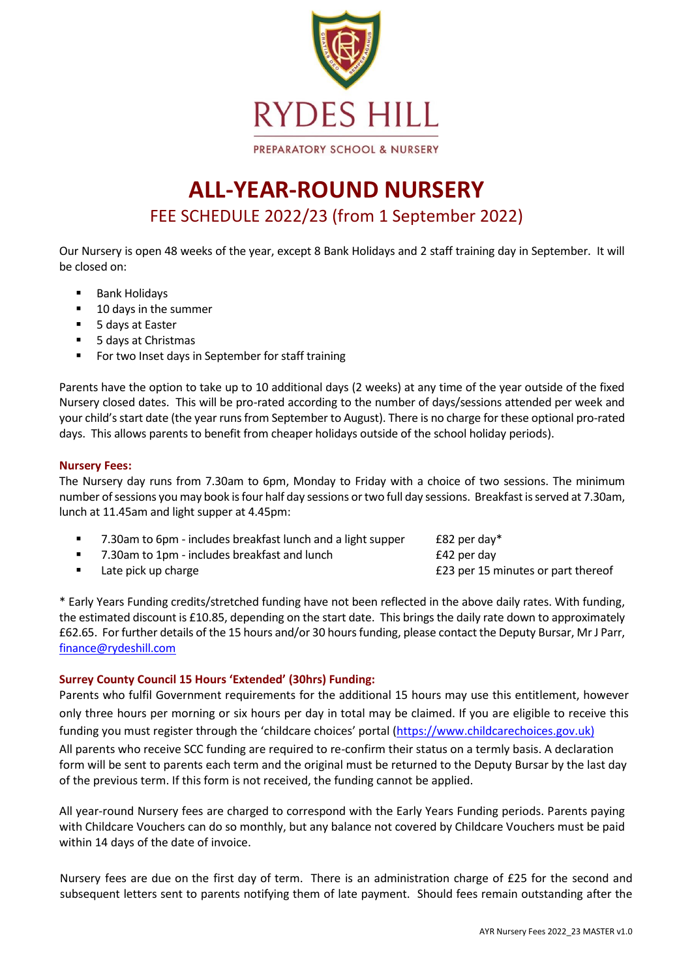

# **ALL-YEAR-ROUND NURSERY** FEE SCHEDULE 2022/23 (from 1 September 2022)

Our Nursery is open 48 weeks of the year, except 8 Bank Holidays and 2 staff training day in September. It will be closed on:

- Bank Holidays
- 10 days in the summer
- 5 days at Easter
- 5 days at Christmas
- For two Inset days in September for staff training

Parents have the option to take up to 10 additional days (2 weeks) at any time of the year outside of the fixed Nursery closed dates. This will be pro-rated according to the number of days/sessions attended per week and your child's start date (the year runs from September to August). There is no charge for these optional pro-rated days. This allows parents to benefit from cheaper holidays outside of the school holiday periods).

# **Nursery Fees:**

The Nursery day runs from 7.30am to 6pm, Monday to Friday with a choice of two sessions. The minimum number of sessions you may book is four half day sessions or two full day sessions. Breakfast is served at 7.30am, lunch at 11.45am and light supper at 4.45pm:

| 7.30am to 6pm - includes breakfast lunch and a light supper | £82 per day* |
|-------------------------------------------------------------|--------------|
| 7.30am to 1pm - includes breakfast and lunch                | £42 per day  |

■ Late pick up charge **23** per 15 minutes or part thereof

\* Early Years Funding credits/stretched funding have not been reflected in the above daily rates. With funding, the estimated discount is £10.85, depending on the start date. This brings the daily rate down to approximately £62.65. For further details of the 15 hours and/or 30 hours funding, please contact the Deputy Bursar, Mr J Parr, [finance@rydeshill.com](mailto:finance@rydeshill.com)

# **Surrey County Council 15 Hours 'Extended' (30hrs) Funding:**

Parents who fulfil Government requirements for the additional 15 hours may use this entitlement, however only three hours per morning or six hours per day in total may be claimed. If you are eligible to receive this funding you must register through the 'childcare choices' portal ([https://www.childcarechoices.gov.uk\)](https://www.childcarechoices.gov.uk/)

All parents who receive SCC funding are required to re-confirm their status on a termly basis. A declaration form will be sent to parents each term and the original must be returned to the Deputy Bursar by the last day of the previous term. If this form is not received, the funding cannot be applied.

All year-round Nursery fees are charged to correspond with the Early Years Funding periods. Parents paying with Childcare Vouchers can do so monthly, but any balance not covered by Childcare Vouchers must be paid within 14 days of the date of invoice.

Nursery fees are due on the first day of term. There is an administration charge of £25 for the second and subsequent letters sent to parents notifying them of late payment. Should fees remain outstanding after the